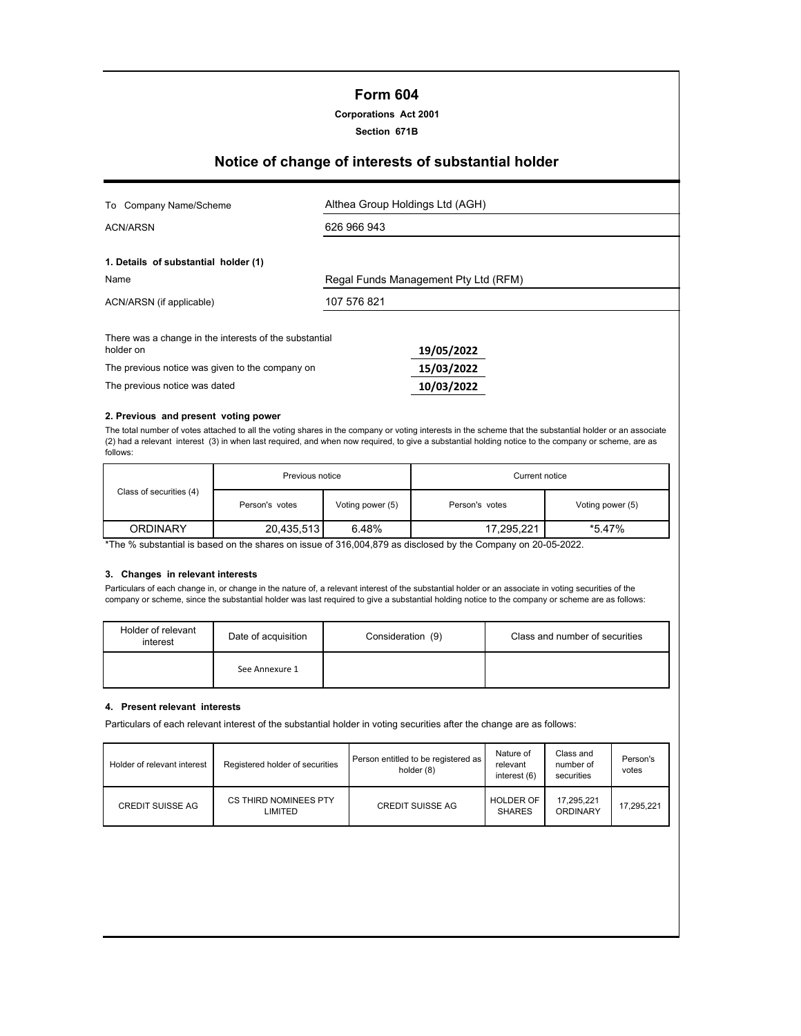## **Form 604**

**Corporations Act 2001**

**Section 671B**

# **Notice of change of interests of substantial holder**

| To Company Name/Scheme                                              | Althea Group Holdings Ltd (AGH)      |  |  |
|---------------------------------------------------------------------|--------------------------------------|--|--|
| ACN/ARSN                                                            | 626 966 943                          |  |  |
| 1. Details of substantial holder (1)                                |                                      |  |  |
| Name                                                                | Regal Funds Management Pty Ltd (RFM) |  |  |
| ACN/ARSN (if applicable)                                            | 107 576 821                          |  |  |
| There was a change in the interests of the substantial<br>holder on | 19/05/2022                           |  |  |
| The previous notice was given to the company on                     | 15/03/2022                           |  |  |
| The previous notice was dated                                       | 10/03/2022                           |  |  |

#### **2. Previous and present voting power**

The total number of votes attached to all the voting shares in the company or voting interests in the scheme that the substantial holder or an associate (2) had a relevant interest (3) in when last required, and when now required, to give a substantial holding notice to the company or scheme, are as follows:

|                         | Previous notice |                  | Current notice |                  |  |
|-------------------------|-----------------|------------------|----------------|------------------|--|
| Class of securities (4) | Person's votes  | Voting power (5) | Person's votes | Voting power (5) |  |
| <b>ORDINARY</b>         | 20,435,513      | 6.48%            | 17,295,221     | *5.47%           |  |

\*The % substantial is based on the shares on issue of 316,004,879 as disclosed by the Company on 20-05-2022.

## **3. Changes in relevant interests**

Particulars of each change in, or change in the nature of, a relevant interest of the substantial holder or an associate in voting securities of the company or scheme, since the substantial holder was last required to give a substantial holding notice to the company or scheme are as follows:

| Holder of relevant<br>interest | Date of acquisition | Consideration (9) | Class and number of securities |
|--------------------------------|---------------------|-------------------|--------------------------------|
|                                | See Annexure 1      |                   |                                |

#### **4. Present relevant interests**

Particulars of each relevant interest of the substantial holder in voting securities after the change are as follows:

| Holder of relevant interest | Registered holder of securities  | Person entitled to be registered as<br>holder (8) | Nature of<br>relevant<br>interest (6) | Class and<br>number of<br>securities | Person's<br>votes |
|-----------------------------|----------------------------------|---------------------------------------------------|---------------------------------------|--------------------------------------|-------------------|
| <b>CREDIT SUISSE AG</b>     | CS THIRD NOMINEES PTY<br>LIMITED | <b>CREDIT SUISSE AG</b>                           | <b>HOLDER OF</b><br><b>SHARES</b>     | 17.295.221<br>ORDINARY               | 17.295.221        |